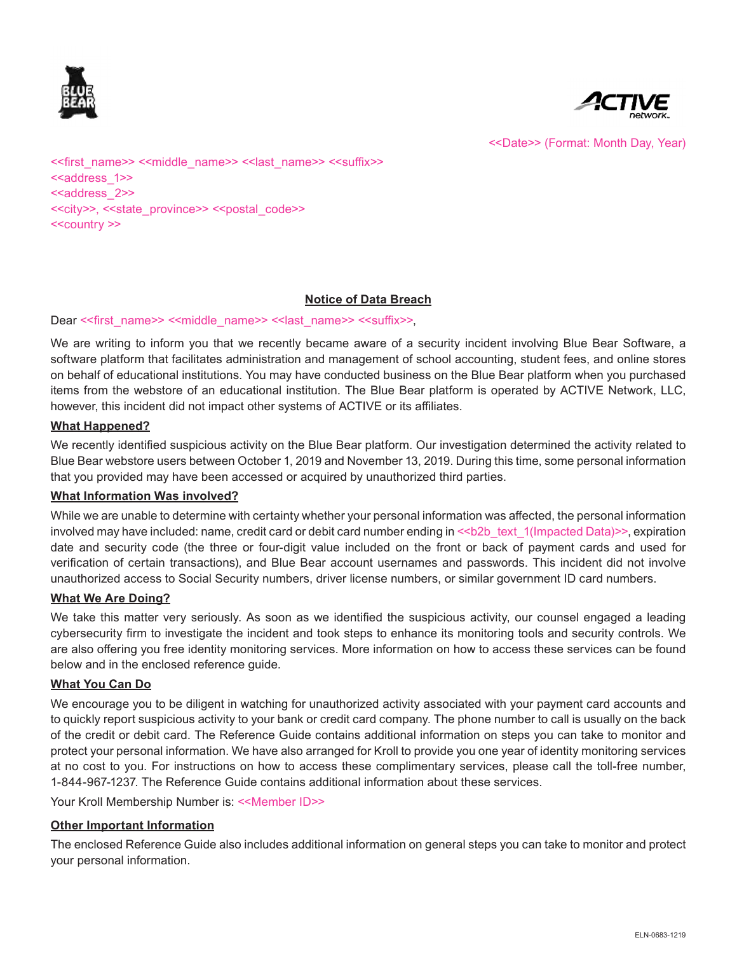



<<Date>> (Format: Month Day, Year)

<<first\_name>> <<middle\_name>> <<last\_name>> <<suffix>> <<address\_1>> <<address 2>> <<city>>, <<state\_province>> <<postal\_code>> <<country >>

## **Notice of Data Breach**

#### Dear << first\_name>> <<middle\_name>> << last\_name>> <<suffix>>,

We are writing to inform you that we recently became aware of a security incident involving Blue Bear Software, a software platform that facilitates administration and management of school accounting, student fees, and online stores on behalf of educational institutions. You may have conducted business on the Blue Bear platform when you purchased items from the webstore of an educational institution. The Blue Bear platform is operated by ACTIVE Network, LLC, however, this incident did not impact other systems of ACTIVE or its affiliates.

#### **What Happened?**

We recently identified suspicious activity on the Blue Bear platform. Our investigation determined the activity related to Blue Bear webstore users between October 1, 2019 and November 13, 2019. During this time, some personal information that you provided may have been accessed or acquired by unauthorized third parties.

#### **What Information Was involved?**

While we are unable to determine with certainty whether your personal information was affected, the personal information involved may have included: name, credit card or debit card number ending in  $\le b2b$  text  $1$ (Impacted Data)>>, expiration date and security code (the three or four-digit value included on the front or back of payment cards and used for verification of certain transactions), and Blue Bear account usernames and passwords. This incident did not involve unauthorized access to Social Security numbers, driver license numbers, or similar government ID card numbers.

#### **What We Are Doing?**

We take this matter very seriously. As soon as we identified the suspicious activity, our counsel engaged a leading cybersecurity firm to investigate the incident and took steps to enhance its monitoring tools and security controls. We are also offering you free identity monitoring services. More information on how to access these services can be found below and in the enclosed reference guide.

#### **What You Can Do**

We encourage you to be diligent in watching for unauthorized activity associated with your payment card accounts and to quickly report suspicious activity to your bank or credit card company. The phone number to call is usually on the back of the credit or debit card. The Reference Guide contains additional information on steps you can take to monitor and protect your personal information. We have also arranged for Kroll to provide you one year of identity monitoring services at no cost to you. For instructions on how to access these complimentary services, please call the toll-free number, 1-844-967-1237. The Reference Guide contains additional information about these services.

Your Kroll Membership Number is: <<Member ID>>

## **Other Important Information**

The enclosed Reference Guide also includes additional information on general steps you can take to monitor and protect your personal information.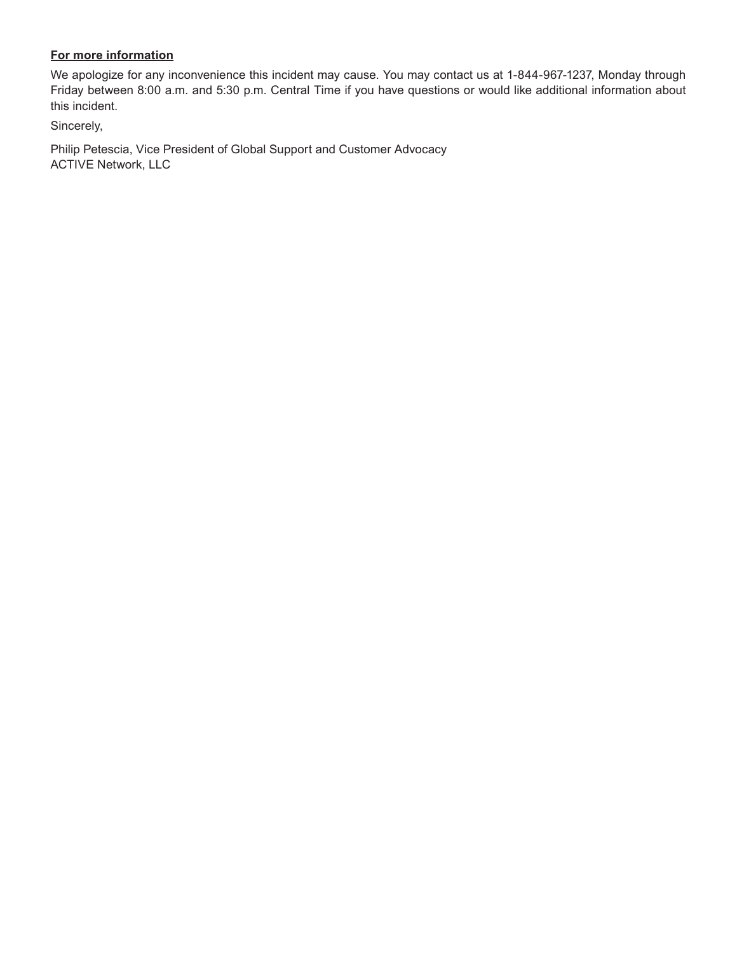## **For more information**

We apologize for any inconvenience this incident may cause. You may contact us at 1-844-967-1237, Monday through Friday between 8:00 a.m. and 5:30 p.m. Central Time if you have questions or would like additional information about this incident.

Sincerely,

Philip Petescia, Vice President of Global Support and Customer Advocacy ACTIVE Network, LLC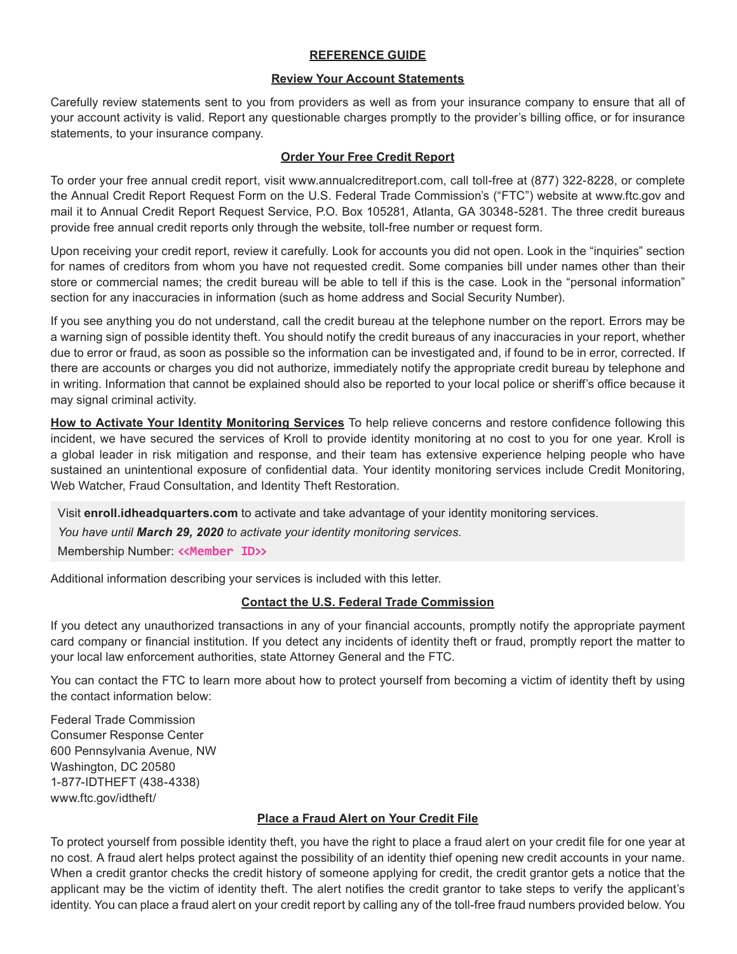## **REFERENCE GUIDE**

#### **Review Your Account Statements**

Carefully review statements sent to you from providers as well as from your insurance company to ensure that all of your account activity is valid. Report any questionable charges promptly to the provider's billing office, or for insurance statements, to your insurance company.

## **Order Your Free Credit Report**

To order your free annual credit report, visit www.annualcreditreport.com, call toll-free at (877) 322-8228, or complete the Annual Credit Report Request Form on the U.S. Federal Trade Commission's ("FTC") website at www.ftc.gov and mail it to Annual Credit Report Request Service, P.O. Box 105281, Atlanta, GA 30348-5281. The three credit bureaus provide free annual credit reports only through the website, toll-free number or request form.

Upon receiving your credit report, review it carefully. Look for accounts you did not open. Look in the "inquiries" section for names of creditors from whom you have not requested credit. Some companies bill under names other than their store or commercial names; the credit bureau will be able to tell if this is the case. Look in the "personal information" section for any inaccuracies in information (such as home address and Social Security Number).

If you see anything you do not understand, call the credit bureau at the telephone number on the report. Errors may be a warning sign of possible identity theft. You should notify the credit bureaus of any inaccuracies in your report, whether due to error or fraud, as soon as possible so the information can be investigated and, if found to be in error, corrected. If there are accounts or charges you did not authorize, immediately notify the appropriate credit bureau by telephone and in writing. Information that cannot be explained should also be reported to your local police or sheriff's office because it may signal criminal activity.

**How to Activate Your Identity Monitoring Services** To help relieve concerns and restore confidence following this incident, we have secured the services of Kroll to provide identity monitoring at no cost to you for one year. Kroll is a global leader in risk mitigation and response, and their team has extensive experience helping people who have sustained an unintentional exposure of confidential data. Your identity monitoring services include Credit Monitoring, Web Watcher, Fraud Consultation, and Identity Theft Restoration.

Visit **enroll.idheadquarters.com** to activate and take advantage of your identity monitoring services.

*You have until March 29, 2020 to activate your identity monitoring services.*

Membership Number: **<<Member ID>>**

Additional information describing your services is included with this letter.

## **Contact the U.S. Federal Trade Commission**

If you detect any unauthorized transactions in any of your financial accounts, promptly notify the appropriate payment card company or financial institution. If you detect any incidents of identity theft or fraud, promptly report the matter to your local law enforcement authorities, state Attorney General and the FTC.

You can contact the FTC to learn more about how to protect yourself from becoming a victim of identity theft by using the contact information below:

Federal Trade Commission Consumer Response Center 600 Pennsylvania Avenue, NW Washington, DC 20580 1-877-IDTHEFT (438-4338) www.ftc.gov/idtheft/

## **Place a Fraud Alert on Your Credit File**

To protect yourself from possible identity theft, you have the right to place a fraud alert on your credit file for one year at no cost. A fraud alert helps protect against the possibility of an identity thief opening new credit accounts in your name. When a credit grantor checks the credit history of someone applying for credit, the credit grantor gets a notice that the applicant may be the victim of identity theft. The alert notifies the credit grantor to take steps to verify the applicant's identity. You can place a fraud alert on your credit report by calling any of the toll-free fraud numbers provided below. You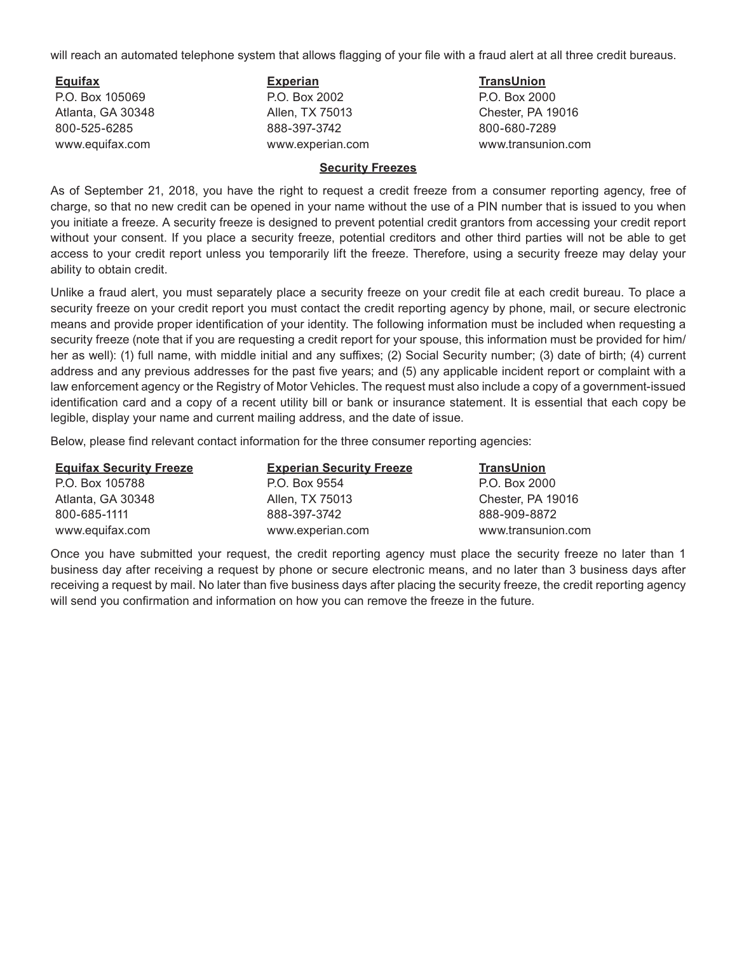will reach an automated telephone system that allows flagging of your file with a fraud alert at all three credit bureaus.

**Equifax** P.O. Box 105069 Atlanta, GA 30348 800-525-6285 www.equifax.com

**Experian** P.O. Box 2002 Allen, TX 75013 888-397-3742 www.experian.com **TransUnion** P.O. Box 2000 Chester, PA 19016 800-680-7289 www.transunion.com

#### **Security Freezes**

As of September 21, 2018, you have the right to request a credit freeze from a consumer reporting agency, free of charge, so that no new credit can be opened in your name without the use of a PIN number that is issued to you when you initiate a freeze. A security freeze is designed to prevent potential credit grantors from accessing your credit report without your consent. If you place a security freeze, potential creditors and other third parties will not be able to get access to your credit report unless you temporarily lift the freeze. Therefore, using a security freeze may delay your ability to obtain credit.

Unlike a fraud alert, you must separately place a security freeze on your credit file at each credit bureau. To place a security freeze on your credit report you must contact the credit reporting agency by phone, mail, or secure electronic means and provide proper identification of your identity. The following information must be included when requesting a security freeze (note that if you are requesting a credit report for your spouse, this information must be provided for him/ her as well): (1) full name, with middle initial and any suffixes; (2) Social Security number; (3) date of birth; (4) current address and any previous addresses for the past five years; and (5) any applicable incident report or complaint with a law enforcement agency or the Registry of Motor Vehicles. The request must also include a copy of a government-issued identification card and a copy of a recent utility bill or bank or insurance statement. It is essential that each copy be legible, display your name and current mailing address, and the date of issue.

Below, please find relevant contact information for the three consumer reporting agencies:

| <b>Equifax Security Freeze</b> | <b>Experian Security Freeze</b> | <b>TransUnion</b>  |
|--------------------------------|---------------------------------|--------------------|
| P.O. Box 105788                | P.O. Box 9554                   | P.O. Box 2000      |
| Atlanta, GA 30348              | Allen, TX 75013                 | Chester, PA 19016  |
| 800-685-1111                   | 888-397-3742                    | 888-909-8872       |
| www.equifax.com                | www.experian.com                | www.transunion.com |

Once you have submitted your request, the credit reporting agency must place the security freeze no later than 1 business day after receiving a request by phone or secure electronic means, and no later than 3 business days after receiving a request by mail. No later than five business days after placing the security freeze, the credit reporting agency will send you confirmation and information on how you can remove the freeze in the future.